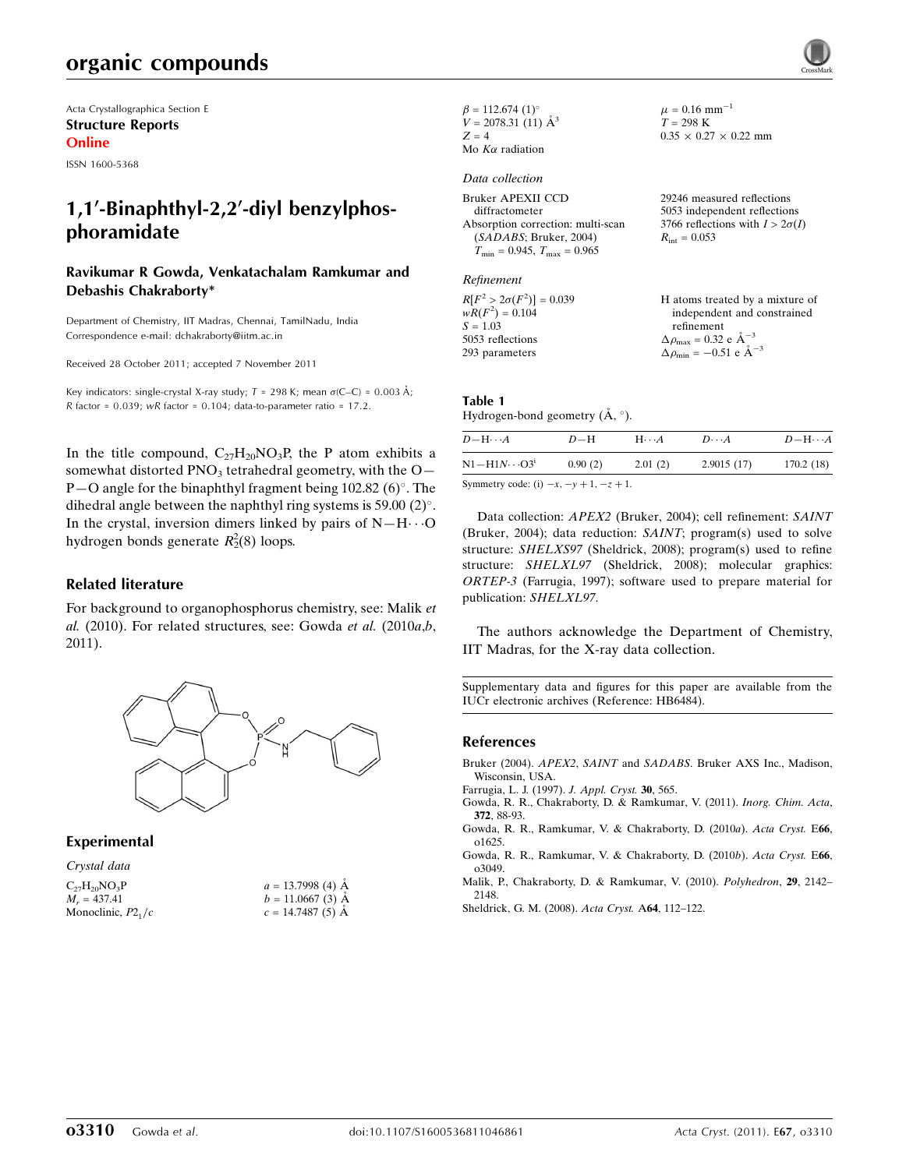# organic compounds

Acta Crystallographica Section E Structure Reports Online

ISSN 1600-5368

# 1,1'-Binaphthyl-2,2'-diyl benzylphosphoramidate

### Ravikumar R Gowda, Venkatachalam Ramkumar and Debashis Chakraborty\*

Department of Chemistry, IIT Madras, Chennai, TamilNadu, India Correspondence e-mail: [dchakraborty@iitm.ac.in](http://scripts.iucr.org/cgi-bin/cr.cgi?rm=pdfbb&cnor=hb6484&bbid=BB7)

Received 28 October 2011; accepted 7 November 2011

Key indicators: single-crystal X-ray study;  $T = 298$  K; mean  $\sigma$ (C–C) = 0.003 Å;  $R$  factor = 0.039; wR factor = 0.104; data-to-parameter ratio = 17.2.

In the title compound,  $C_{27}H_{20}NO_3P$ , the P atom exhibits a somewhat distorted  $PNO<sub>3</sub>$  tetrahedral geometry, with the  $O-$ P-O angle for the binaphthyl fragment being  $102.82$  (6)°. The dihedral angle between the naphthyl ring systems is 59.00  $(2)^\circ$ . In the crystal, inversion dimers linked by pairs of  $N-H\cdots O$ hydrogen bonds generate  $R_2^2(8)$  loops.

### Related literature

For background to organophosphorus chemistry, see: Malik et al.  $(2010)$ . For related structures, see: Gowda et al.  $(2010a,b,$ 2011).



### Experimental

| $a = 13.7998$ (4) Å |
|---------------------|
| $b = 11.0667(3)$ Å  |
| $c = 14.7487(5)$ Å  |
|                     |

 $\beta = 112.674$  (1)<sup>o</sup>  $V = 2078.31(11)$   $\AA^3$  $Z = 4$ Mo  $K\alpha$  radiation

### Data collection

#### Refinement

| $R[F^2 > 2\sigma(F^2)] = 0.039$ |
|---------------------------------|
| $wR(F^2) = 0.104$               |
| $S = 1.03$                      |
| 5053 reflections                |
| 293 parameters                  |

5053 independent reflections 3766 reflections with  $I > 2\sigma(I)$  $R_{\text{int}} = 0.053$ 

29246 measured reflections

 $\mu = 0.16$  mm<sup>-1</sup>  $T = 298 \text{ K}$ 

 $0.35 \times 0.27 \times 0.22$  mm

H atoms treated by a mixture of independent and constrained refinement  $\Delta \rho_{\text{max}} = 0.32 \text{ e } \text{\AA}_{\text{\tiny s}}^{-3}$  $\Delta \rho_{\text{min}} = -0.51 \text{ e } \text{\AA}^{-3}$ 

### Table 1

Hydrogen-bond geometry  $(\AA, \degree)$ .

| $D$ — $H \cdots A$                        | $D-H$   | $H\cdots A$ | $D\cdots A$ | $D - H \cdots A$ |
|-------------------------------------------|---------|-------------|-------------|------------------|
| $N1 - H1N \cdots O3^i$                    | 0.90(2) | 2.01(2)     | 2.9015(17)  | 170.2(18)        |
| Symmetry code: (i) $-x - y + 1 - z + 1$ . |         |             |             |                  |

Symmetry code: (i)  $-x$ ,  $-y + 1$ ,  $-z + 1$ .

Data collection: APEX2 (Bruker, 2004); cell refinement: SAINT (Bruker, 2004); data reduction: SAINT; program(s) used to solve structure: SHELXS97 (Sheldrick, 2008); program(s) used to refine structure: SHELXL97 (Sheldrick, 2008); molecular graphics: ORTEP-3 (Farrugia, 1997); software used to prepare material for publication: SHELXL97.

The authors acknowledge the Department of Chemistry, IIT Madras, for the X-ray data collection.

Supplementary data and figures for this paper are available from the IUCr electronic archives (Reference: HB6484).

### References

- Bruker (2004). APEX2, SAINT and SADABS[. Bruker AXS Inc., Madison,](http://scripts.iucr.org/cgi-bin/cr.cgi?rm=pdfbb&cnor=hb6484&bbid=BB1) [Wisconsin, USA.](http://scripts.iucr.org/cgi-bin/cr.cgi?rm=pdfbb&cnor=hb6484&bbid=BB1)
- [Farrugia, L. J. \(1997\).](http://scripts.iucr.org/cgi-bin/cr.cgi?rm=pdfbb&cnor=hb6484&bbid=BB2) J. Appl. Cryst. 30, 565.
- [Gowda, R. R., Chakraborty, D. & Ramkumar, V. \(2011\).](http://scripts.iucr.org/cgi-bin/cr.cgi?rm=pdfbb&cnor=hb6484&bbid=BB3) Inorg. Chim. Acta, 372[, 88-93.](http://scripts.iucr.org/cgi-bin/cr.cgi?rm=pdfbb&cnor=hb6484&bbid=BB3)
- [Gowda, R. R., Ramkumar, V. & Chakraborty, D. \(2010](http://scripts.iucr.org/cgi-bin/cr.cgi?rm=pdfbb&cnor=hb6484&bbid=BB4)a). Acta Cryst. E66, [o1625.](http://scripts.iucr.org/cgi-bin/cr.cgi?rm=pdfbb&cnor=hb6484&bbid=BB4)
- [Gowda, R. R., Ramkumar, V. & Chakraborty, D. \(2010](http://scripts.iucr.org/cgi-bin/cr.cgi?rm=pdfbb&cnor=hb6484&bbid=BB5)b). Acta Cryst. E66, [o3049.](http://scripts.iucr.org/cgi-bin/cr.cgi?rm=pdfbb&cnor=hb6484&bbid=BB5)
- [Malik, P., Chakraborty, D. & Ramkumar, V. \(2010\).](http://scripts.iucr.org/cgi-bin/cr.cgi?rm=pdfbb&cnor=hb6484&bbid=BB6) Polyhedron, 29, 2142– [2148.](http://scripts.iucr.org/cgi-bin/cr.cgi?rm=pdfbb&cnor=hb6484&bbid=BB6)
- [Sheldrick, G. M. \(2008\).](http://scripts.iucr.org/cgi-bin/cr.cgi?rm=pdfbb&cnor=hb6484&bbid=BB7) Acta Cryst. A64, 112–122.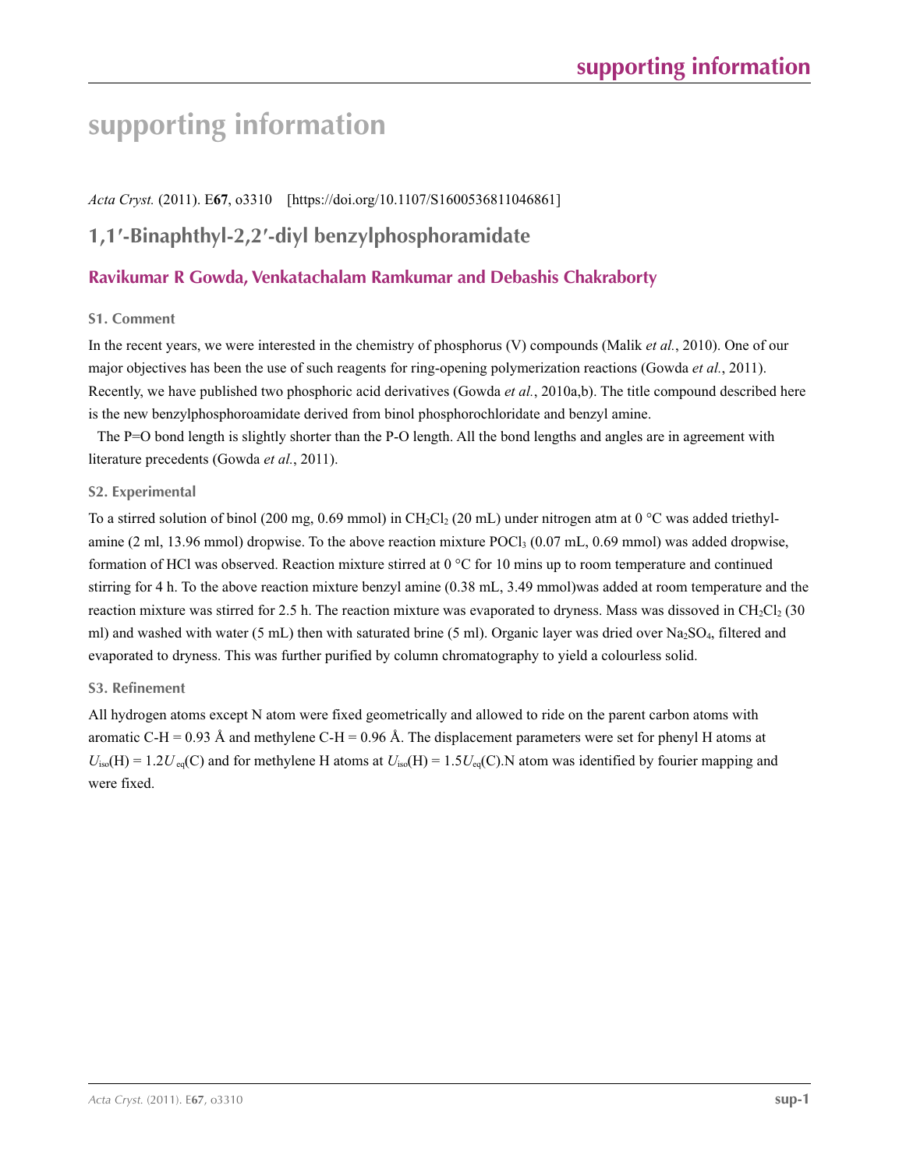# **supporting information**

*Acta Cryst.* (2011). E**67**, o3310 [https://doi.org/10.1107/S1600536811046861]

## **1,1′-Binaphthyl-2,2′-diyl benzylphosphoramidate**

### **Ravikumar R Gowda, Venkatachalam Ramkumar and Debashis Chakraborty**

### **S1. Comment**

In the recent years, we were interested in the chemistry of phosphorus (V) compounds (Malik *et al.*, 2010). One of our major objectives has been the use of such reagents for ring-opening polymerization reactions (Gowda *et al.*, 2011). Recently, we have published two phosphoric acid derivatives (Gowda *et al.*, 2010a,b). The title compound described here is the new benzylphosphoroamidate derived from binol phosphorochloridate and benzyl amine.

The P=O bond length is slightly shorter than the P-O length. All the bond lengths and angles are in agreement with literature precedents (Gowda *et al.*, 2011).

### **S2. Experimental**

To a stirred solution of binol (200 mg, 0.69 mmol) in CH<sub>2</sub>Cl<sub>2</sub> (20 mL) under nitrogen atm at 0 °C was added triethylamine (2 ml, 13.96 mmol) dropwise. To the above reaction mixture POCl<sub>3</sub> (0.07 mL, 0.69 mmol) was added dropwise, formation of HCl was observed. Reaction mixture stirred at 0 °C for 10 mins up to room temperature and continued stirring for 4 h. To the above reaction mixture benzyl amine (0.38 mL, 3.49 mmol)was added at room temperature and the reaction mixture was stirred for 2.5 h. The reaction mixture was evaporated to dryness. Mass was dissoved in  $CH_2Cl_2$  (30 ml) and washed with water (5 mL) then with saturated brine (5 ml). Organic layer was dried over  $Na<sub>2</sub>SO<sub>4</sub>$ , filtered and evaporated to dryness. This was further purified by column chromatography to yield a colourless solid.

### **S3. Refinement**

All hydrogen atoms except N atom were fixed geometrically and allowed to ride on the parent carbon atoms with aromatic C-H = 0.93 Å and methylene C-H = 0.96 Å. The displacement parameters were set for phenyl H atoms at  $U_{iso}(H) = 1.2U_{eq}(C)$  and for methylene H atoms at  $U_{iso}(H) = 1.5U_{eq}(C)$ . N atom was identified by fourier mapping and were fixed.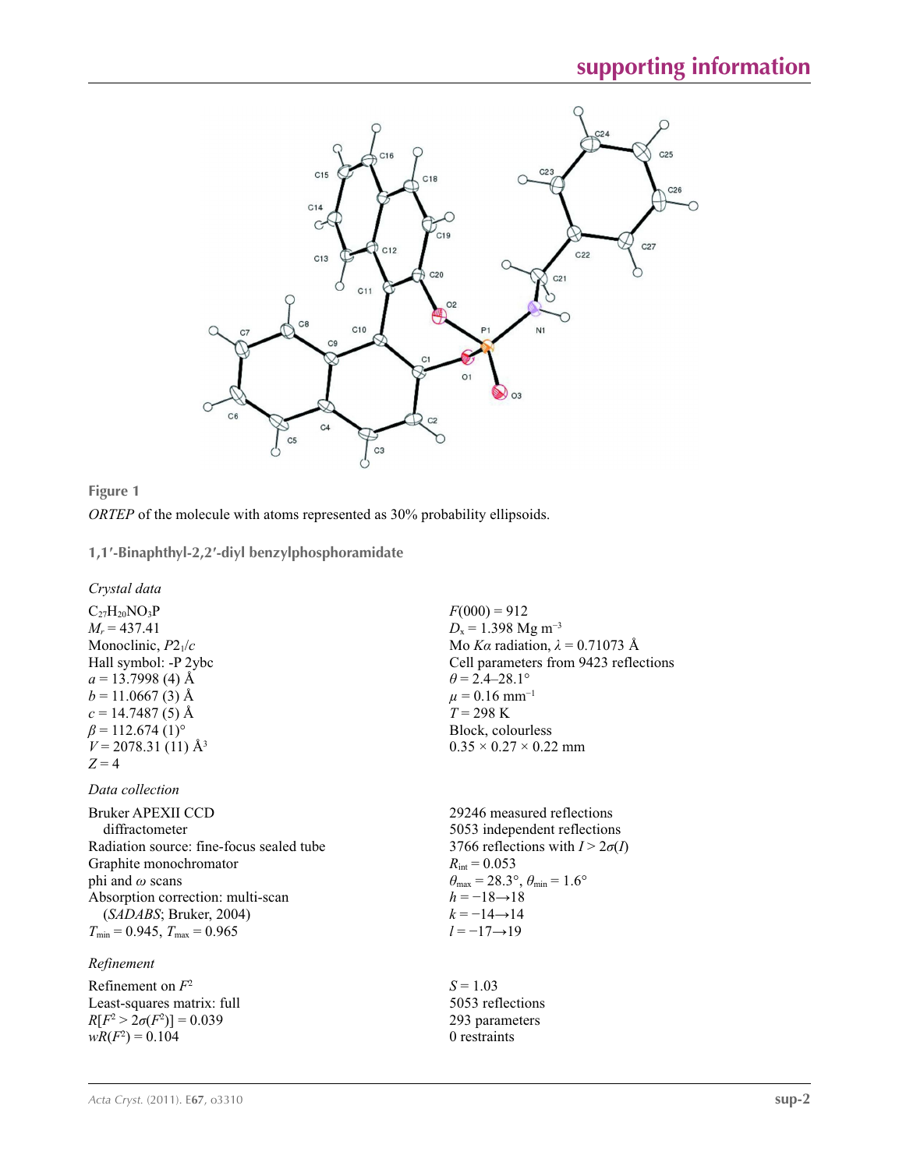



*ORTEP* of the molecule with atoms represented as 30% probability ellipsoids.

**1,1′-Binaphthyl-2,2′-diyl benzylphosphoramidate** 

*Crystal data*

 $C_{27}H_{20}NO_3P$  $M_r = 437.41$ Monoclinic, *P*21/*c* Hall symbol: -P 2ybc  $a = 13.7998$  (4) Å  $b = 11.0667(3)$  Å  $c = 14.7487(5)$  Å  $\beta$  = 112.674 (1)<sup>o</sup>  $V = 2078.31(11)$  Å<sup>3</sup>  $Z = 4$ 

### *Data collection*

Bruker APEXII CCD diffractometer Radiation source: fine-focus sealed tube Graphite monochromator phi and *ω* scans Absorption correction: multi-scan (*SADABS*; Bruker, 2004)  $T_{\text{min}} = 0.945, T_{\text{max}} = 0.965$ 

### *Refinement*

Refinement on *F*<sup>2</sup> Least-squares matrix: full *R*[ $F^2 > 2\sigma(F^2)$ ] = 0.039  $wR(F^2) = 0.104$ 

 $F(000) = 912$  $D_x = 1.398$  Mg m<sup>-3</sup> Mo *Kα* radiation, *λ* = 0.71073 Å Cell parameters from 9423 reflections  $\theta = 2.4 - 28.1$ °  $\mu$  = 0.16 mm<sup>-1</sup>  $T = 298 \text{ K}$ Block, colourless  $0.35 \times 0.27 \times 0.22$  mm

29246 measured reflections 5053 independent reflections 3766 reflections with  $I > 2\sigma(I)$  $R_{\text{int}} = 0.053$  $\theta_{\text{max}} = 28.3^{\circ}, \theta_{\text{min}} = 1.6^{\circ}$  $h = -18 \rightarrow 18$  $k = -14 \rightarrow 14$ *l* = −17→19

 $S = 1.03$ 5053 reflections 293 parameters 0 restraints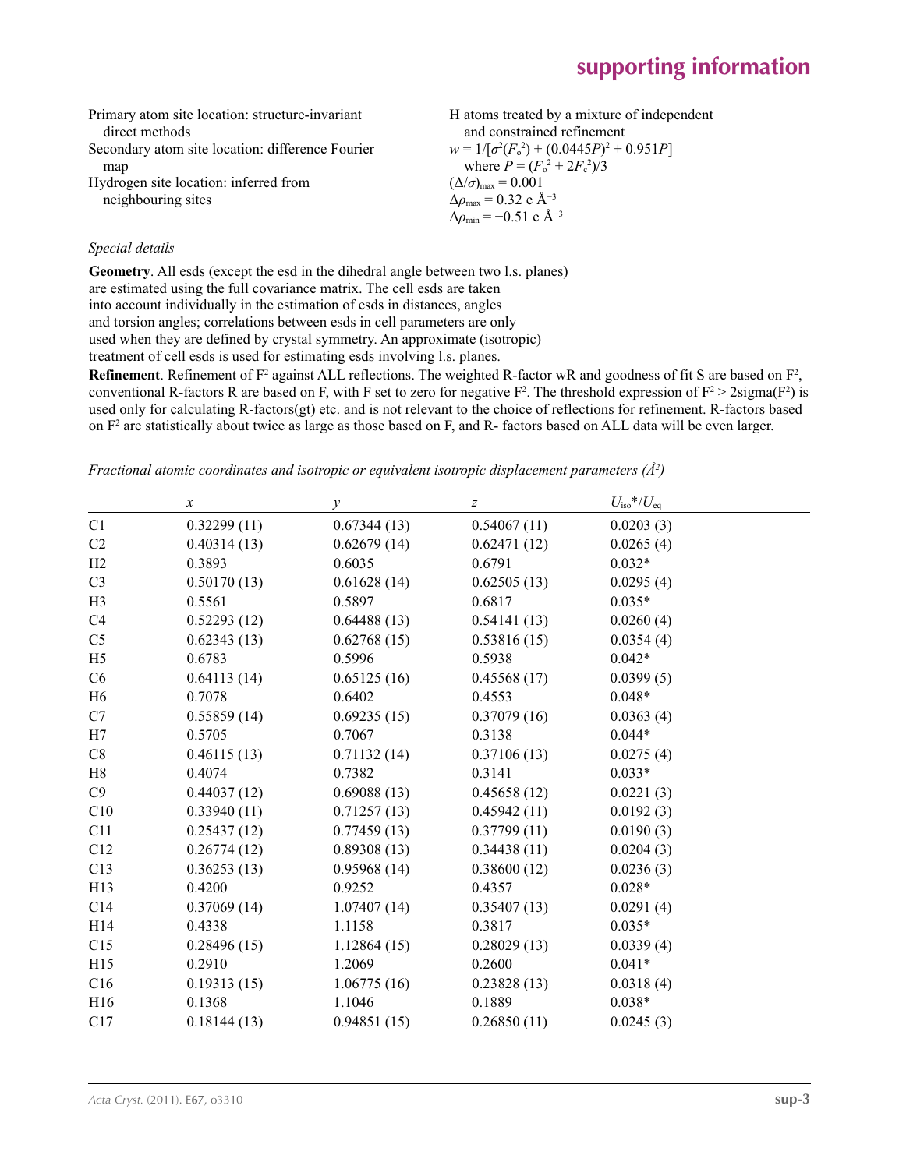| Primary atom site location: structure-invariant<br>direct methods | H atoms treated by a mixture of independent<br>and constrained refinement |
|-------------------------------------------------------------------|---------------------------------------------------------------------------|
| Secondary atom site location: difference Fourier                  | $w = 1/[\sigma^2(F_0^2) + (0.0445P)^2 + 0.951P]$                          |
| map                                                               | where $P = (F_o^2 + 2F_c^2)/3$                                            |
| Hydrogen site location: inferred from                             | $(\Delta/\sigma)_{\text{max}} = 0.001$                                    |
| neighbouring sites                                                | $\Delta\rho_{\text{max}} = 0.32$ e Å <sup>-3</sup>                        |
|                                                                   | $\Delta\rho_{\rm min} = -0.51$ e Å <sup>-3</sup>                          |

### *Special details*

**Geometry**. All esds (except the esd in the dihedral angle between two l.s. planes) are estimated using the full covariance matrix. The cell esds are taken into account individually in the estimation of esds in distances, angles and torsion angles; correlations between esds in cell parameters are only used when they are defined by crystal symmetry. An approximate (isotropic) treatment of cell esds is used for estimating esds involving l.s. planes.

**Refinement**. Refinement of  $F^2$  against ALL reflections. The weighted R-factor wR and goodness of fit S are based on  $F^2$ , conventional R-factors R are based on F, with F set to zero for negative  $F^2$ . The threshold expression of  $F^2 > 2 \text{sigma}(F^2)$  is used only for calculating R-factors(gt) etc. and is not relevant to the choice of reflections for refinement. R-factors based on  $F<sup>2</sup>$  are statistically about twice as large as those based on F, and R- factors based on ALL data will be even larger.

*Fractional atomic coordinates and isotropic or equivalent isotropic displacement parameters (Å<sup>2</sup>)* 

|                 | $\boldsymbol{x}$ | $\mathcal{Y}$ | $\boldsymbol{Z}$ | $U_{\rm iso}*/U_{\rm eq}$ |
|-----------------|------------------|---------------|------------------|---------------------------|
| C1              | 0.32299(11)      | 0.67344(13)   | 0.54067(11)      | 0.0203(3)                 |
| C2              | 0.40314(13)      | 0.62679(14)   | 0.62471(12)      | 0.0265(4)                 |
| H2              | 0.3893           | 0.6035        | 0.6791           | $0.032*$                  |
| C <sub>3</sub>  | 0.50170(13)      | 0.61628(14)   | 0.62505(13)      | 0.0295(4)                 |
| H <sub>3</sub>  | 0.5561           | 0.5897        | 0.6817           | $0.035*$                  |
| C4              | 0.52293(12)      | 0.64488(13)   | 0.54141(13)      | 0.0260(4)                 |
| C <sub>5</sub>  | 0.62343(13)      | 0.62768(15)   | 0.53816(15)      | 0.0354(4)                 |
| H <sub>5</sub>  | 0.6783           | 0.5996        | 0.5938           | $0.042*$                  |
| C6              | 0.64113(14)      | 0.65125(16)   | 0.45568(17)      | 0.0399(5)                 |
| H <sub>6</sub>  | 0.7078           | 0.6402        | 0.4553           | $0.048*$                  |
| C7              | 0.55859(14)      | 0.69235(15)   | 0.37079(16)      | 0.0363(4)                 |
| H7              | 0.5705           | 0.7067        | 0.3138           | $0.044*$                  |
| C8              | 0.46115(13)      | 0.71132(14)   | 0.37106(13)      | 0.0275(4)                 |
| H8              | 0.4074           | 0.7382        | 0.3141           | $0.033*$                  |
| C9              | 0.44037(12)      | 0.69088(13)   | 0.45658(12)      | 0.0221(3)                 |
| C10             | 0.33940(11)      | 0.71257(13)   | 0.45942(11)      | 0.0192(3)                 |
| C11             | 0.25437(12)      | 0.77459(13)   | 0.37799(11)      | 0.0190(3)                 |
| C12             | 0.26774(12)      | 0.89308(13)   | 0.34438(11)      | 0.0204(3)                 |
| C13             | 0.36253(13)      | 0.95968(14)   | 0.38600(12)      | 0.0236(3)                 |
| H13             | 0.4200           | 0.9252        | 0.4357           | $0.028*$                  |
| C14             | 0.37069(14)      | 1.07407(14)   | 0.35407(13)      | 0.0291(4)                 |
| H <sub>14</sub> | 0.4338           | 1.1158        | 0.3817           | $0.035*$                  |
| C15             | 0.28496(15)      | 1.12864(15)   | 0.28029(13)      | 0.0339(4)                 |
| H15             | 0.2910           | 1.2069        | 0.2600           | $0.041*$                  |
| C16             | 0.19313(15)      | 1.06775(16)   | 0.23828(13)      | 0.0318(4)                 |
| H16             | 0.1368           | 1.1046        | 0.1889           | $0.038*$                  |
| C17             | 0.18144(13)      | 0.94851(15)   | 0.26850(11)      | 0.0245(3)                 |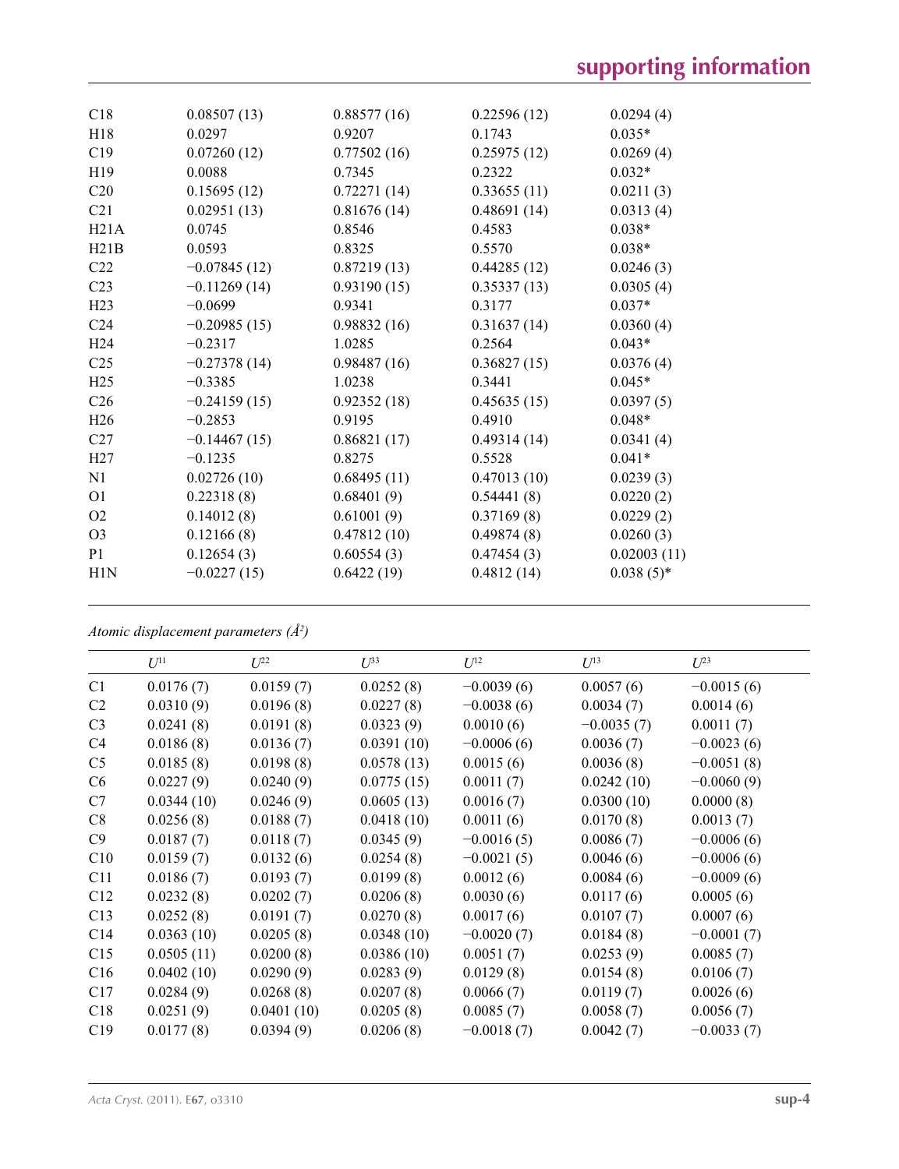| C18             | 0.08507(13)    | 0.88577(16) | 0.22596(12) | 0.0294(4)    |
|-----------------|----------------|-------------|-------------|--------------|
| H18             | 0.0297         | 0.9207      | 0.1743      | $0.035*$     |
| C19             | 0.07260(12)    | 0.77502(16) | 0.25975(12) | 0.0269(4)    |
| H <sub>19</sub> | 0.0088         | 0.7345      | 0.2322      | $0.032*$     |
| C20             | 0.15695(12)    | 0.72271(14) | 0.33655(11) | 0.0211(3)    |
| C21             | 0.02951(13)    | 0.81676(14) | 0.48691(14) | 0.0313(4)    |
| H21A            | 0.0745         | 0.8546      | 0.4583      | $0.038*$     |
| H21B            | 0.0593         | 0.8325      | 0.5570      | $0.038*$     |
| C <sub>22</sub> | $-0.07845(12)$ | 0.87219(13) | 0.44285(12) | 0.0246(3)    |
| C <sub>23</sub> | $-0.11269(14)$ | 0.93190(15) | 0.35337(13) | 0.0305(4)    |
| H23             | $-0.0699$      | 0.9341      | 0.3177      | $0.037*$     |
| C <sub>24</sub> | $-0.20985(15)$ | 0.98832(16) | 0.31637(14) | 0.0360(4)    |
| H <sub>24</sub> | $-0.2317$      | 1.0285      | 0.2564      | $0.043*$     |
| C <sub>25</sub> | $-0.27378(14)$ | 0.98487(16) | 0.36827(15) | 0.0376(4)    |
| H <sub>25</sub> | $-0.3385$      | 1.0238      | 0.3441      | $0.045*$     |
| C <sub>26</sub> | $-0.24159(15)$ | 0.92352(18) | 0.45635(15) | 0.0397(5)    |
| H <sub>26</sub> | $-0.2853$      | 0.9195      | 0.4910      | $0.048*$     |
| C27             | $-0.14467(15)$ | 0.86821(17) | 0.49314(14) | 0.0341(4)    |
| H27             | $-0.1235$      | 0.8275      | 0.5528      | $0.041*$     |
| N1              | 0.02726(10)    | 0.68495(11) | 0.47013(10) | 0.0239(3)    |
| O <sub>1</sub>  | 0.22318(8)     | 0.68401(9)  | 0.54441(8)  | 0.0220(2)    |
| O <sub>2</sub>  | 0.14012(8)     | 0.61001(9)  | 0.37169(8)  | 0.0229(2)    |
| O <sub>3</sub>  | 0.12166(8)     | 0.47812(10) | 0.49874(8)  | 0.0260(3)    |
| P <sub>1</sub>  | 0.12654(3)     | 0.60554(3)  | 0.47454(3)  | 0.02003(11)  |
| H1N             | $-0.0227(15)$  | 0.6422(19)  | 0.4812(14)  | $0.038(5)$ * |
|                 |                |             |             |              |

*Atomic displacement parameters (Å2 )*

|                | $U^{11}$   | $U^{22}$   | $U^{33}$   | $U^{12}$     | $U^{13}$     | $U^{23}$     |
|----------------|------------|------------|------------|--------------|--------------|--------------|
| C <sub>1</sub> | 0.0176(7)  | 0.0159(7)  | 0.0252(8)  | $-0.0039(6)$ | 0.0057(6)    | $-0.0015(6)$ |
| C <sub>2</sub> | 0.0310(9)  | 0.0196(8)  | 0.0227(8)  | $-0.0038(6)$ | 0.0034(7)    | 0.0014(6)    |
| C <sub>3</sub> | 0.0241(8)  | 0.0191(8)  | 0.0323(9)  | 0.0010(6)    | $-0.0035(7)$ | 0.0011(7)    |
| C4             | 0.0186(8)  | 0.0136(7)  | 0.0391(10) | $-0.0006(6)$ | 0.0036(7)    | $-0.0023(6)$ |
| C <sub>5</sub> | 0.0185(8)  | 0.0198(8)  | 0.0578(13) | 0.0015(6)    | 0.0036(8)    | $-0.0051(8)$ |
| C <sub>6</sub> | 0.0227(9)  | 0.0240(9)  | 0.0775(15) | 0.0011(7)    | 0.0242(10)   | $-0.0060(9)$ |
| C7             | 0.0344(10) | 0.0246(9)  | 0.0605(13) | 0.0016(7)    | 0.0300(10)   | 0.0000(8)    |
| C8             | 0.0256(8)  | 0.0188(7)  | 0.0418(10) | 0.0011(6)    | 0.0170(8)    | 0.0013(7)    |
| C9             | 0.0187(7)  | 0.0118(7)  | 0.0345(9)  | $-0.0016(5)$ | 0.0086(7)    | $-0.0006(6)$ |
| C10            | 0.0159(7)  | 0.0132(6)  | 0.0254(8)  | $-0.0021(5)$ | 0.0046(6)    | $-0.0006(6)$ |
| C11            | 0.0186(7)  | 0.0193(7)  | 0.0199(8)  | 0.0012(6)    | 0.0084(6)    | $-0.0009(6)$ |
| C12            | 0.0232(8)  | 0.0202(7)  | 0.0206(8)  | 0.0030(6)    | 0.0117(6)    | 0.0005(6)    |
| C13            | 0.0252(8)  | 0.0191(7)  | 0.0270(8)  | 0.0017(6)    | 0.0107(7)    | 0.0007(6)    |
| C14            | 0.0363(10) | 0.0205(8)  | 0.0348(10) | $-0.0020(7)$ | 0.0184(8)    | $-0.0001(7)$ |
| C15            | 0.0505(11) | 0.0200(8)  | 0.0386(10) | 0.0051(7)    | 0.0253(9)    | 0.0085(7)    |
| C16            | 0.0402(10) | 0.0290(9)  | 0.0283(9)  | 0.0129(8)    | 0.0154(8)    | 0.0106(7)    |
| C17            | 0.0284(9)  | 0.0268(8)  | 0.0207(8)  | 0.0066(7)    | 0.0119(7)    | 0.0026(6)    |
| C18            | 0.0251(9)  | 0.0401(10) | 0.0205(8)  | 0.0085(7)    | 0.0058(7)    | 0.0056(7)    |
| C19            | 0.0177(8)  | 0.0394(9)  | 0.0206(8)  | $-0.0018(7)$ | 0.0042(7)    | $-0.0033(7)$ |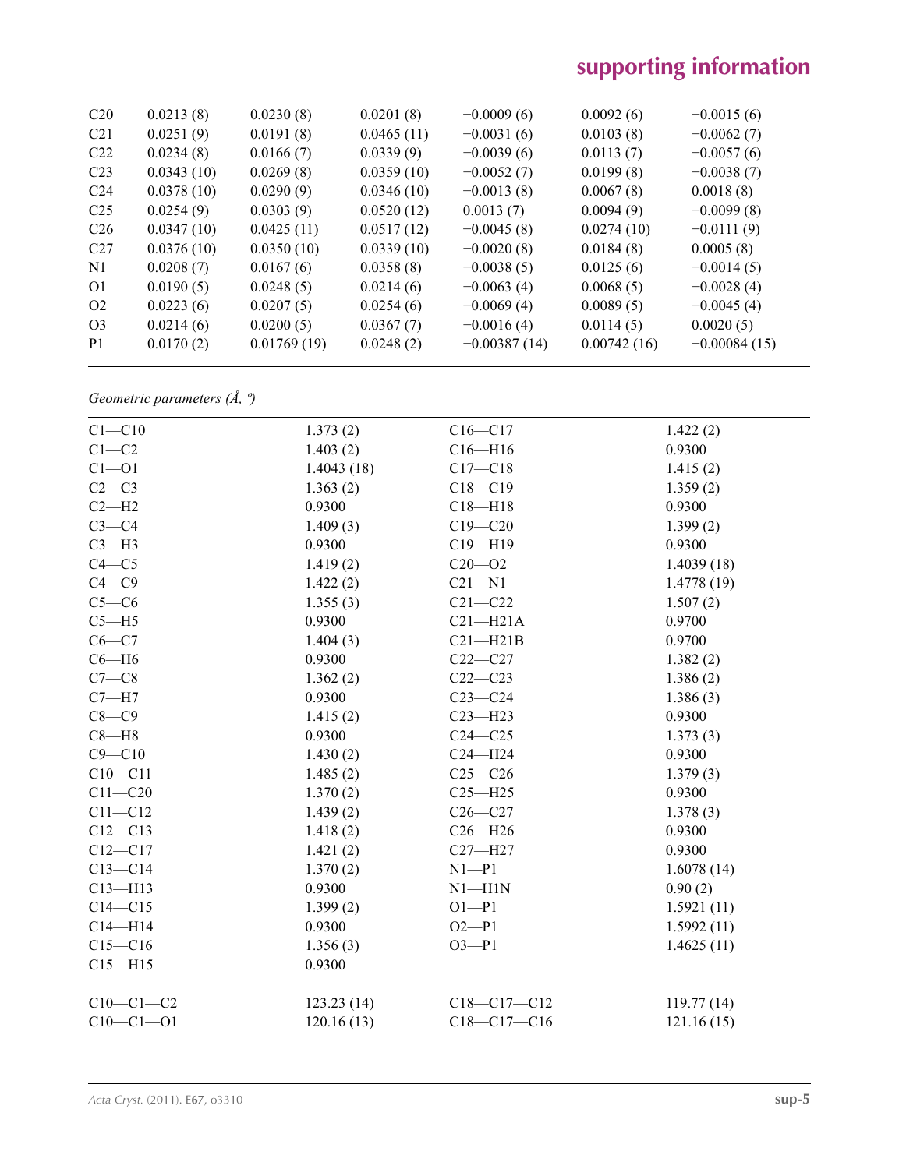| C <sub>20</sub> | 0.0213(8)  | 0.0230(8)   | 0.0201(8)  | $-0.0009(6)$   | 0.0092(6)   | $-0.0015(6)$   |
|-----------------|------------|-------------|------------|----------------|-------------|----------------|
| C <sub>21</sub> | 0.0251(9)  | 0.0191(8)   | 0.0465(11) | $-0.0031(6)$   | 0.0103(8)   | $-0.0062(7)$   |
| C <sub>22</sub> | 0.0234(8)  | 0.0166(7)   | 0.0339(9)  | $-0.0039(6)$   | 0.0113(7)   | $-0.0057(6)$   |
| C <sub>23</sub> | 0.0343(10) | 0.0269(8)   | 0.0359(10) | $-0.0052(7)$   | 0.0199(8)   | $-0.0038(7)$   |
| C <sub>24</sub> | 0.0378(10) | 0.0290(9)   | 0.0346(10) | $-0.0013(8)$   | 0.0067(8)   | 0.0018(8)      |
| C <sub>25</sub> | 0.0254(9)  | 0.0303(9)   | 0.0520(12) | 0.0013(7)      | 0.0094(9)   | $-0.0099(8)$   |
| C <sub>26</sub> | 0.0347(10) | 0.0425(11)  | 0.0517(12) | $-0.0045(8)$   | 0.0274(10)  | $-0.0111(9)$   |
| C27             | 0.0376(10) | 0.0350(10)  | 0.0339(10) | $-0.0020(8)$   | 0.0184(8)   | 0.0005(8)      |
| N1              | 0.0208(7)  | 0.0167(6)   | 0.0358(8)  | $-0.0038(5)$   | 0.0125(6)   | $-0.0014(5)$   |
| 01              | 0.0190(5)  | 0.0248(5)   | 0.0214(6)  | $-0.0063(4)$   | 0.0068(5)   | $-0.0028(4)$   |
| O <sub>2</sub>  | 0.0223(6)  | 0.0207(5)   | 0.0254(6)  | $-0.0069(4)$   | 0.0089(5)   | $-0.0045(4)$   |
| O <sub>3</sub>  | 0.0214(6)  | 0.0200(5)   | 0.0367(7)  | $-0.0016(4)$   | 0.0114(5)   | 0.0020(5)      |
| P <sub>1</sub>  | 0.0170(2)  | 0.01769(19) | 0.0248(2)  | $-0.00387(14)$ | 0.00742(16) | $-0.00084(15)$ |
|                 |            |             |            |                |             |                |

*Geometric parameters (Å, º)*

| $C1 - C10$      | 1.373(2)   | $C16 - C17$   | 1.422(2)   |
|-----------------|------------|---------------|------------|
| $C1-C2$         | 1.403(2)   | $C16 - H16$   | 0.9300     |
| $C1 - 01$       | 1.4043(18) | $C17 - C18$   | 1.415(2)   |
| $C2-C3$         | 1.363(2)   | $C18 - C19$   | 1.359(2)   |
| $C2 - H2$       | 0.9300     | $C18 - H18$   | 0.9300     |
| $C3-C4$         | 1.409(3)   | $C19 - C20$   | 1.399(2)   |
| $C3-H3$         | 0.9300     | $C19 - H19$   | 0.9300     |
| $C4 - C5$       | 1.419(2)   | $C20 - 02$    | 1.4039(18) |
| $C4 - C9$       | 1.422(2)   | $C21 - N1$    | 1.4778(19) |
| $C5-C6$         | 1.355(3)   | $C21 - C22$   | 1.507(2)   |
| $C5 - H5$       | 0.9300     | $C21 - H21A$  | 0.9700     |
| $C6-C7$         | 1.404(3)   | $C21 - H21B$  | 0.9700     |
| $C6 - H6$       | 0.9300     | $C22-C27$     | 1.382(2)   |
| $C7-C8$         | 1.362(2)   | $C22-C23$     | 1.386(2)   |
| $C7 - H7$       | 0.9300     | $C23-C24$     | 1.386(3)   |
| $C8 - C9$       | 1.415(2)   | $C23 - H23$   | 0.9300     |
| $C8 - H8$       | 0.9300     | $C24 - C25$   | 1.373(3)   |
| $C9 - C10$      | 1.430(2)   | $C24 - H24$   | 0.9300     |
| $C10-C11$       | 1.485(2)   | $C25-C26$     | 1.379(3)   |
| $C11 - C20$     | 1.370(2)   | $C25 - H25$   | 0.9300     |
| $C11 - C12$     | 1.439(2)   | $C26-C27$     | 1.378(3)   |
| $C12-C13$       | 1.418(2)   | $C26 - H26$   | 0.9300     |
| $C12 - C17$     | 1.421(2)   | $C27 - H27$   | 0.9300     |
| $C13-C14$       | 1.370(2)   | $N1 - P1$     | 1.6078(14) |
| $C13 - H13$     | 0.9300     | $N1 - H1N$    | 0.90(2)    |
| $C14 - C15$     | 1.399(2)   | $O1 - P1$     | 1.5921(11) |
| $C14 - H14$     | 0.9300     | $O2-P1$       | 1.5992(11) |
| $C15 - C16$     | 1.356(3)   | $O3 - P1$     | 1.4625(11) |
| $C15 - H15$     | 0.9300     |               |            |
| $C10-C1-C2$     | 123.23(14) | $C18-C17-C12$ | 119.77(14) |
| $C10 - C1 - 01$ | 120.16(13) | $C18-C17-C16$ | 121.16(15) |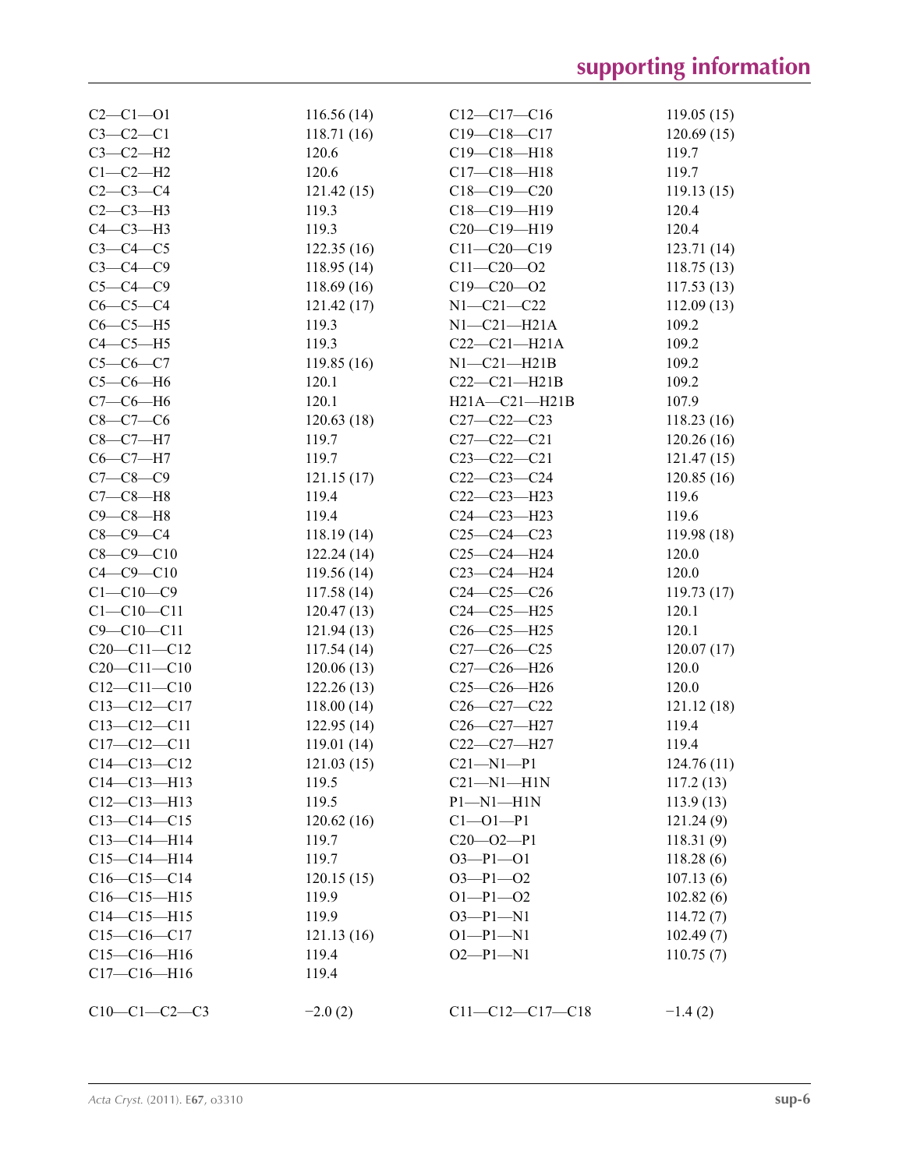| $C2 - C1 - O1$                         | 116.56(14) | $C12-C17-C16$                  | 119.05(15)          |
|----------------------------------------|------------|--------------------------------|---------------------|
| $C3-C2-C1$                             | 118.71(16) | $C19 - C18 - C17$              | 120.69(15)          |
| $C3-C2-H2$                             | 120.6      | $C19 - C18 - H18$              | 119.7               |
| $C1-C2-H2$                             | 120.6      | $C17 - C18 - H18$              | 119.7               |
| $C2-C3-C4$                             | 121.42(15) | $C18 - C19 - C20$              | 119.13(15)          |
| $C2-C3-H3$                             | 119.3      | $C18 - C19 - H19$              | 120.4               |
| $C4-C3-H3$                             | 119.3      | $C20-C19-H19$                  | 120.4               |
| $C3-C4-C5$                             | 122.35(16) | $C11 - C20 - C19$              | 123.71(14)          |
| $C3-C4-C9$                             | 118.95(14) | $C11 - C20 - 02$               | 118.75(13)          |
| $C5-C4-C9$                             | 118.69(16) | $C19 - C20 - 02$               | 117.53(13)          |
| $C6-C5-C4$                             | 121.42(17) | $N1 - C21 - C22$               | 112.09(13)          |
| $C6-C5-H5$                             | 119.3      | $N1-C21-H21A$                  | 109.2               |
| $C4-C5-H5$                             | 119.3      | $C22-C21-H21A$                 | 109.2               |
| $C5 - C6 - C7$                         | 119.85(16) | $N1-C21-H21B$                  | 109.2               |
| $C5-C6-H6$                             | 120.1      | $C22-C21-H21B$                 | 109.2               |
| $C7-C6-H6$                             | 120.1      | H21A-C21-H21B                  | 107.9               |
| $C8 - C7 - C6$                         | 120.63(18) | $C27-C22-C23$                  | 118.23(16)          |
| $C8-C7-H7$                             | 119.7      | $C27 - C22 - C21$              | 120.26(16)          |
| $C6-C7-H7$                             | 119.7      | $C23 - C22 - C21$              | 121.47(15)          |
| $C7 - C8 - C9$                         | 121.15(17) | $C22-C23-C24$                  | 120.85(16)          |
| $C7-C8-H8$                             | 119.4      | $C22-C23-H23$                  | 119.6               |
| $C9 - C8 - H8$                         | 119.4      | $C24 - C23 - H23$              | 119.6               |
| $C8 - C9 - C4$                         | 118.19(14) | $C25-C24-C23$                  | 119.98(18)          |
| $C8 - C9 - C10$                        | 122.24(14) | $C25-C24-H24$                  | 120.0               |
| $C4 - C9 - C10$                        | 119.56(14) | $C23-C24-H24$                  | 120.0               |
| $C1 - C10 - C9$                        | 117.58(14) | $C24 - C25 - C26$              | 119.73(17)          |
| $C1 - C10 - C11$                       | 120.47(13) | $C24 - C25 - H25$              | 120.1               |
| $C9 - C10 - C11$                       | 121.94(13) | $C26 - C25 - H25$              | 120.1               |
| $C20 - C11 - C12$                      |            | $C27-C26-C25$                  |                     |
|                                        | 117.54(14) | $C27-C26-H26$                  | 120.07(17)<br>120.0 |
| $C20 - C11 - C10$                      | 120.06(13) |                                |                     |
| $C12 - C11 - C10$                      | 122.26(13) | $C25-C26-H26$<br>$C26-C27-C22$ | 120.0               |
| $C13 - C12 - C17$                      | 118.00(14) |                                | 121.12(18)          |
| $C13 - C12 - C11$<br>$C17 - C12 - C11$ | 122.95(14) | $C26 - C27 - H27$              | 119.4<br>119.4      |
|                                        | 119.01(14) | C22-C27-H27                    |                     |
| $C14 - C13 - C12$                      | 121.03(15) | $C21 - N1 - P1$                | 124.76(11)          |
| $C14 - C13 - H13$                      | 119.5      | $C21 - N1 - H1N$               | 117.2(13)           |
| $C12 - C13 - H13$                      | 119.5      | $P1 - N1 - H1N$                | 113.9(13)           |
| $C13 - C14 - C15$                      | 120.62(16) | $C1 - 01 - P1$                 | 121.24(9)           |
| $C13 - C14 - H14$                      | 119.7      | $C20 - 02 - P1$                | 118.31(9)           |
| $C15 - C14 - H14$                      | 119.7      | $O3 - P1 - O1$                 | 118.28(6)           |
| $C16-C15-C14$                          | 120.15(15) | $O3 - P1 - O2$                 | 107.13(6)           |
| $C16 - C15 - H15$                      | 119.9      | $O1-P1-O2$                     | 102.82(6)           |
| $C14 - C15 - H15$                      | 119.9      | $O3 - P1 - N1$                 | 114.72(7)           |
| $C15-C16-C17$                          | 121.13(16) | $O1 - P1 - N1$                 | 102.49(7)           |
| $C15 - C16 - H16$                      | 119.4      | $O2-P1-N1$                     | 110.75(7)           |
| $C17 - C16 - H16$                      | 119.4      |                                |                     |
| $C10-C1-C2-C3$                         | $-2.0(2)$  | $C11-C12-C17-C18$              | $-1.4(2)$           |
|                                        |            |                                |                     |